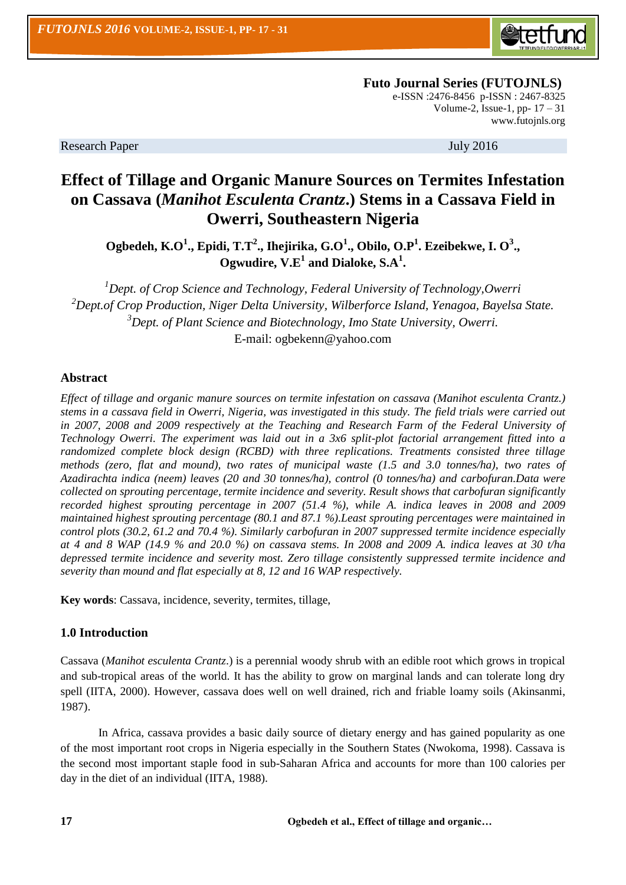

 **Futo Journal Series (FUTOJNLS)** e-ISSN :2476-8456 p-ISSN : 2467-8325 Volume-2, Issue-1, pp-  $17 - 31$ [www.futojnls.org](http://www.futojnls.org/)

Research Paper July 2016

# **Effect of Tillage and Organic Manure Sources on Termites Infestation on Cassava (***Manihot Esculenta Crantz***.) Stems in a Cassava Field in Owerri, Southeastern Nigeria**

**Ogbedeh, K.O<sup>1</sup> ., Epidi, T.T<sup>2</sup> ., Ihejirika, G.O<sup>1</sup> ., Obilo, O.P<sup>1</sup> . Ezeibekwe, I. O<sup>3</sup> ., Ogwudire, V.E<sup>1</sup> and Dialoke, S.A<sup>1</sup> .**

*Dept. of Crop Science and Technology, Federal University of Technology,Owerri Dept.of Crop Production, Niger Delta University, Wilberforce Island, Yenagoa, Bayelsa State. Dept. of Plant Science and Biotechnology, Imo State University, Owerri.* E-mail: [ogbekenn@yahoo.com](mailto:ogbekenn@yahoo.com)

#### **Abstract**

*Effect of tillage and organic manure sources on termite infestation on cassava (Manihot esculenta Crantz.) stems in a cassava field in Owerri, Nigeria, was investigated in this study. The field trials were carried out in 2007, 2008 and 2009 respectively at the Teaching and Research Farm of the Federal University of Technology Owerri. The experiment was laid out in a 3x6 split-plot factorial arrangement fitted into a randomized complete block design (RCBD) with three replications. Treatments consisted three tillage methods (zero, flat and mound), two rates of municipal waste (1.5 and 3.0 tonnes/ha), two rates of Azadirachta indica (neem) leaves (20 and 30 tonnes/ha), control (0 tonnes/ha) and carbofuran.Data were collected on sprouting percentage, termite incidence and severity. Result shows that carbofuran significantly recorded highest sprouting percentage in 2007 (51.4 %), while A. indica leaves in 2008 and 2009 maintained highest sprouting percentage (80.1 and 87.1 %).Least sprouting percentages were maintained in control plots (30.2, 61.2 and 70.4 %). Similarly carbofuran in 2007 suppressed termite incidence especially at 4 and 8 WAP (14.9 % and 20.0 %) on cassava stems. In 2008 and 2009 A. indica leaves at 30 t/ha depressed termite incidence and severity most. Zero tillage consistently suppressed termite incidence and severity than mound and flat especially at 8, 12 and 16 WAP respectively.*

**Key words**: Cassava, incidence, severity, termites, tillage,

### **1.0 Introduction**

Cassava (*Manihot esculenta Crantz*.) is a perennial woody shrub with an edible root which grows in tropical and sub-tropical areas of the world. It has the ability to grow on marginal lands and can tolerate long dry spell (IITA, 2000). However, cassava does well on well drained, rich and friable loamy soils (Akinsanmi, 1987).

In Africa, cassava provides a basic daily source of dietary energy and has gained popularity as one of the most important root crops in Nigeria especially in the Southern States (Nwokoma, 1998). Cassava is the second most important staple food in sub-Saharan Africa and accounts for more than 100 calories per day in the diet of an individual (IITA, 1988).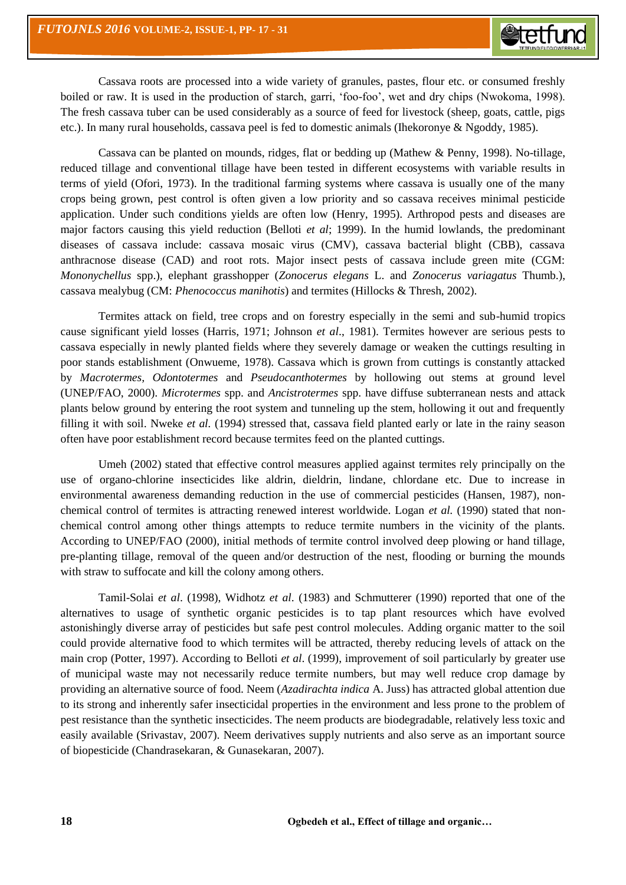Cassava roots are processed into a wide variety of granules, pastes, flour etc. or consumed freshly boiled or raw. It is used in the production of starch, garri, 'foo-foo', wet and dry chips (Nwokoma, 1998). The fresh cassava tuber can be used considerably as a source of feed for livestock (sheep, goats, cattle, pigs etc.). In many rural households, cassava peel is fed to domestic animals (Ihekoronye & Ngoddy, 1985).

Cassava can be planted on mounds, ridges, flat or bedding up (Mathew & Penny, 1998). No-tillage, reduced tillage and conventional tillage have been tested in different ecosystems with variable results in terms of yield (Ofori, 1973). In the traditional farming systems where cassava is usually one of the many crops being grown, pest control is often given a low priority and so cassava receives minimal pesticide application. Under such conditions yields are often low (Henry, 1995). Arthropod pests and diseases are major factors causing this yield reduction (Belloti *et al*; 1999). In the humid lowlands, the predominant diseases of cassava include: cassava mosaic virus (CMV), cassava bacterial blight (CBB), cassava anthracnose disease (CAD) and root rots. Major insect pests of cassava include green mite (CGM: *Mononychellus* spp.), elephant grasshopper (*Zonocerus elegans* L. and *Zonocerus variagatus* Thumb.), cassava mealybug (CM: *Phenococcus manihotis*) and termites (Hillocks & Thresh, 2002).

Termites attack on field, tree crops and on forestry especially in the semi and sub-humid tropics cause significant yield losses (Harris, 1971; Johnson *et al*., 1981). Termites however are serious pests to cassava especially in newly planted fields where they severely damage or weaken the cuttings resulting in poor stands establishment (Onwueme, 1978). Cassava which is grown from cuttings is constantly attacked by *Macrotermes, Odontotermes* and *Pseudocanthotermes* by hollowing out stems at ground level (UNEP/FAO, 2000). *Microtermes* spp. and *Ancistrotermes* spp. have diffuse subterranean nests and attack plants below ground by entering the root system and tunneling up the stem, hollowing it out and frequently filling it with soil. Nweke *et al.* (1994) stressed that, cassava field planted early or late in the rainy season often have poor establishment record because termites feed on the planted cuttings.

Umeh (2002) stated that effective control measures applied against termites rely principally on the use of organo-chlorine insecticides like aldrin, dieldrin, lindane, chlordane etc. Due to increase in environmental awareness demanding reduction in the use of commercial pesticides (Hansen, 1987), nonchemical control of termites is attracting renewed interest worldwide. Logan *et al.* (1990) stated that nonchemical control among other things attempts to reduce termite numbers in the vicinity of the plants. According to UNEP/FAO (2000), initial methods of termite control involved deep plowing or hand tillage, pre-planting tillage, removal of the queen and/or destruction of the nest, flooding or burning the mounds with straw to suffocate and kill the colony among others.

Tamil-Solai *et al*. (1998), Widhotz *et al*. (1983) and Schmutterer (1990) reported that one of the alternatives to usage of synthetic organic pesticides is to tap plant resources which have evolved astonishingly diverse array of pesticides but safe pest control molecules. Adding organic matter to the soil could provide alternative food to which termites will be attracted, thereby reducing levels of attack on the main crop (Potter, 1997). According to Belloti *et al*. (1999), improvement of soil particularly by greater use of municipal waste may not necessarily reduce termite numbers, but may well reduce crop damage by providing an alternative source of food. Neem (*Azadirachta indica* A. Juss) has attracted global attention due to its strong and inherently safer insecticidal properties in the environment and less prone to the problem of pest resistance than the synthetic insecticides. The neem products are biodegradable, relatively less toxic and easily available (Srivastav, 2007). Neem derivatives supply nutrients and also serve as an important source of biopesticide (Chandrasekaran, & Gunasekaran, 2007).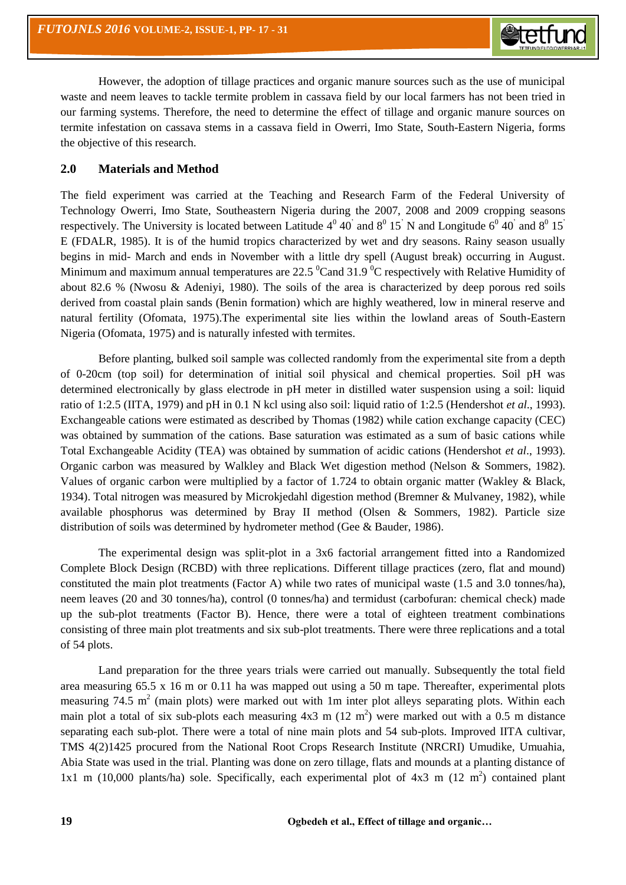However, the adoption of tillage practices and organic manure sources such as the use of municipal waste and neem leaves to tackle termite problem in cassava field by our local farmers has not been tried in our farming systems. Therefore, the need to determine the effect of tillage and organic manure sources on termite infestation on cassava stems in a cassava field in Owerri, Imo State, South-Eastern Nigeria, forms the objective of this research.

#### **2.0 Materials and Method**

The field experiment was carried at the Teaching and Research Farm of the Federal University of Technology Owerri, Imo State, Southeastern Nigeria during the 2007, 2008 and 2009 cropping seasons respectively. The University is located between Latitude  $4^0$  40<sup>'</sup> and  $8^0$  15<sup>'</sup> N and Longitude  $6^0$  40<sup>'</sup> and  $8^0$  15<sup>'</sup> E (FDALR, 1985). It is of the humid tropics characterized by wet and dry seasons. Rainy season usually begins in mid- March and ends in November with a little dry spell (August break) occurring in August. Minimum and maximum annual temperatures are 22.5  $^0$ Cand 31.9  $^0$ C respectively with Relative Humidity of about 82.6 % (Nwosu & Adeniyi, 1980). The soils of the area is characterized by deep porous red soils derived from coastal plain sands (Benin formation) which are highly weathered, low in mineral reserve and natural fertility (Ofomata, 1975).The experimental site lies within the lowland areas of South-Eastern Nigeria (Ofomata, 1975) and is naturally infested with termites.

Before planting, bulked soil sample was collected randomly from the experimental site from a depth of 0-20cm (top soil) for determination of initial soil physical and chemical properties. Soil pH was determined electronically by glass electrode in pH meter in distilled water suspension using a soil: liquid ratio of 1:2.5 (IITA, 1979) and pH in 0.1 N kcl using also soil: liquid ratio of 1:2.5 (Hendershot *et al*., 1993). Exchangeable cations were estimated as described by Thomas (1982) while cation exchange capacity (CEC) was obtained by summation of the cations. Base saturation was estimated as a sum of basic cations while Total Exchangeable Acidity (TEA) was obtained by summation of acidic cations (Hendershot *et al*., 1993). Organic carbon was measured by Walkley and Black Wet digestion method (Nelson & Sommers, 1982). Values of organic carbon were multiplied by a factor of 1.724 to obtain organic matter (Wakley & Black, 1934). Total nitrogen was measured by Microkjedahl digestion method (Bremner & Mulvaney, 1982), while available phosphorus was determined by Bray II method (Olsen & Sommers, 1982). Particle size distribution of soils was determined by hydrometer method (Gee & Bauder, 1986).

The experimental design was split-plot in a 3x6 factorial arrangement fitted into a Randomized Complete Block Design (RCBD) with three replications. Different tillage practices (zero, flat and mound) constituted the main plot treatments (Factor A) while two rates of municipal waste (1.5 and 3.0 tonnes/ha), neem leaves (20 and 30 tonnes/ha), control (0 tonnes/ha) and termidust (carbofuran: chemical check) made up the sub-plot treatments (Factor B). Hence, there were a total of eighteen treatment combinations consisting of three main plot treatments and six sub-plot treatments. There were three replications and a total of 54 plots.

Land preparation for the three years trials were carried out manually. Subsequently the total field area measuring 65.5 x 16 m or 0.11 ha was mapped out using a 50 m tape. Thereafter, experimental plots measuring 74.5  $m^2$  (main plots) were marked out with 1m inter plot alleys separating plots. Within each main plot a total of six sub-plots each measuring  $4x3$  m  $(12 \text{ m}^2)$  were marked out with a 0.5 m distance separating each sub-plot. There were a total of nine main plots and 54 sub-plots. Improved IITA cultivar, TMS 4(2)1425 procured from the National Root Crops Research Institute (NRCRI) Umudike, Umuahia, Abia State was used in the trial. Planting was done on zero tillage, flats and mounds at a planting distance of 1x1 m (10,000 plants/ha) sole. Specifically, each experimental plot of 4x3 m (12 m<sup>2</sup>) contained plant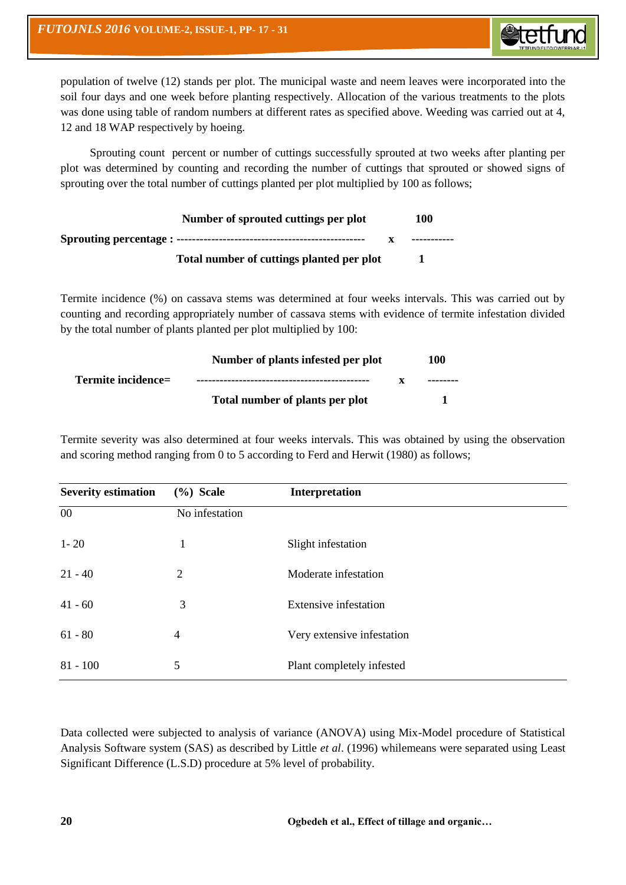

population of twelve (12) stands per plot. The municipal waste and neem leaves were incorporated into the soil four days and one week before planting respectively. Allocation of the various treatments to the plots was done using table of random numbers at different rates as specified above. Weeding was carried out at 4, 12 and 18 WAP respectively by hoeing.

Sprouting count percent or number of cuttings successfully sprouted at two weeks after planting per plot was determined by counting and recording the number of cuttings that sprouted or showed signs of sprouting over the total number of cuttings planted per plot multiplied by 100 as follows;

| Number of sprouted cuttings per plot      | 100          |
|-------------------------------------------|--------------|
|                                           | ------------ |
| Total number of cuttings planted per plot |              |

Termite incidence (%) on cassava stems was determined at four weeks intervals. This was carried out by counting and recording appropriately number of cassava stems with evidence of termite infestation divided by the total number of plants planted per plot multiplied by 100:

|                    | Number of plants infested per plot | 100      |
|--------------------|------------------------------------|----------|
| Termite incidence= |                                    | -------- |
|                    | Total number of plants per plot    |          |

Termite severity was also determined at four weeks intervals. This was obtained by using the observation and scoring method ranging from 0 to 5 according to Ferd and Herwit (1980) as follows;

| <b>Severity estimation</b> | $(\%)$ Scale             | Interpretation               |
|----------------------------|--------------------------|------------------------------|
| 00                         | No infestation           |                              |
| $1 - 20$                   | 1                        | Slight infestation           |
| $21 - 40$                  | 2                        | Moderate infestation         |
| $41 - 60$                  | 3                        | <b>Extensive infestation</b> |
| $61 - 80$                  | $\overline{\mathcal{A}}$ | Very extensive infestation   |
| $81 - 100$                 | 5                        | Plant completely infested    |

Data collected were subjected to analysis of variance (ANOVA) using Mix-Model procedure of Statistical Analysis Software system (SAS) as described by Little *et al*. (1996) whilemeans were separated using Least Significant Difference (L.S.D) procedure at 5% level of probability.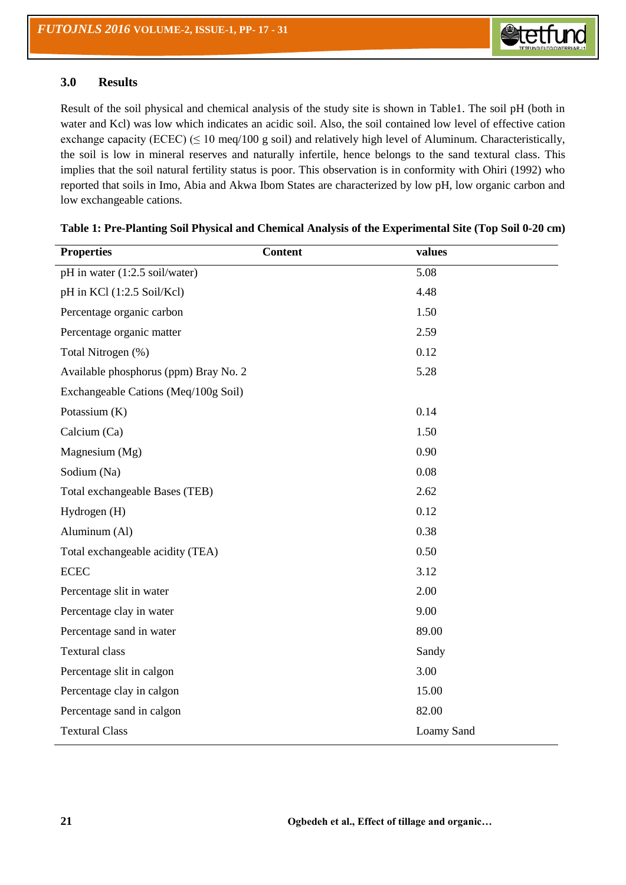#### **3.0 Results**

Result of the soil physical and chemical analysis of the study site is shown in Table1. The soil pH (both in water and Kcl) was low which indicates an acidic soil. Also, the soil contained low level of effective cation exchange capacity (ECEC) ( $\leq 10$  meq/100 g soil) and relatively high level of Aluminum. Characteristically, the soil is low in mineral reserves and naturally infertile, hence belongs to the sand textural class. This implies that the soil natural fertility status is poor. This observation is in conformity with Ohiri (1992) who reported that soils in Imo, Abia and Akwa Ibom States are characterized by low pH, low organic carbon and low exchangeable cations.

| <b>Properties</b>                     | <b>Content</b> | values            |
|---------------------------------------|----------------|-------------------|
| pH in water (1:2.5 soil/water)        |                | 5.08              |
| pH in KCl (1:2.5 Soil/Kcl)            |                | 4.48              |
| Percentage organic carbon             |                | 1.50              |
| Percentage organic matter             |                | 2.59              |
| Total Nitrogen (%)                    |                | 0.12              |
| Available phosphorus (ppm) Bray No. 2 |                | 5.28              |
| Exchangeable Cations (Meq/100g Soil)  |                |                   |
| Potassium (K)                         |                | 0.14              |
| Calcium (Ca)                          |                | 1.50              |
| Magnesium (Mg)                        |                | 0.90              |
| Sodium (Na)                           |                | 0.08              |
| Total exchangeable Bases (TEB)        |                | 2.62              |
| Hydrogen (H)                          |                | 0.12              |
| Aluminum (Al)                         |                | 0.38              |
| Total exchangeable acidity (TEA)      |                | 0.50              |
| <b>ECEC</b>                           |                | 3.12              |
| Percentage slit in water              |                | 2.00              |
| Percentage clay in water              |                | 9.00              |
| Percentage sand in water              |                | 89.00             |
| <b>Textural class</b>                 |                | Sandy             |
| Percentage slit in calgon             |                | 3.00              |
| Percentage clay in calgon             |                | 15.00             |
| Percentage sand in calgon             |                | 82.00             |
| <b>Textural Class</b>                 |                | <b>Loamy Sand</b> |

| Table 1: Pre-Planting Soil Physical and Chemical Analysis of the Experimental Site (Top Soil 0-20 cm) |  |  |  |
|-------------------------------------------------------------------------------------------------------|--|--|--|
|                                                                                                       |  |  |  |
|                                                                                                       |  |  |  |
|                                                                                                       |  |  |  |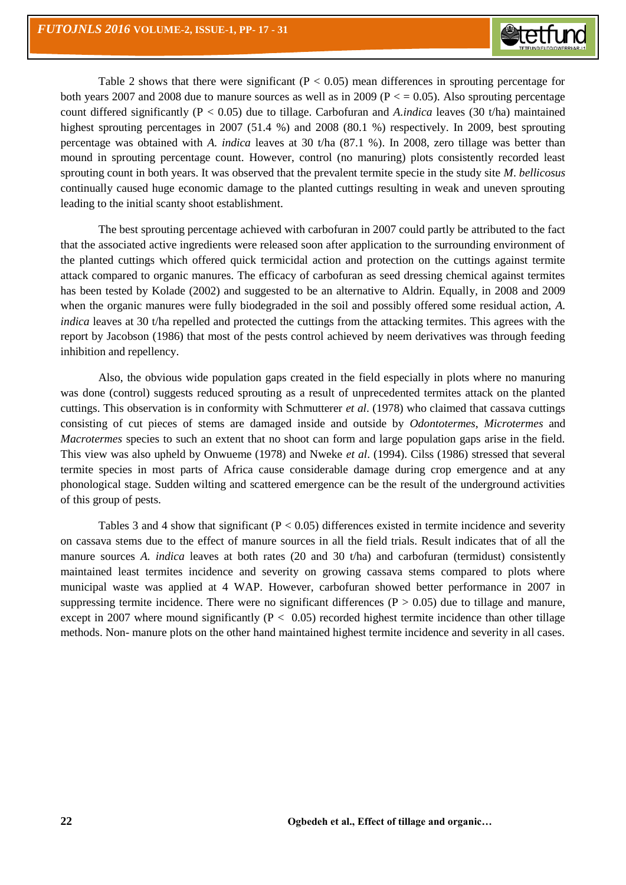Table 2 shows that there were significant ( $P < 0.05$ ) mean differences in sprouting percentage for both years 2007 and 2008 due to manure sources as well as in 2009 ( $P < 0.05$ ). Also sprouting percentage count differed significantly (P < 0.05) due to tillage. Carbofuran and *A.indica* leaves (30 t/ha) maintained highest sprouting percentages in 2007 (51.4 %) and 2008 (80.1 %) respectively. In 2009, best sprouting percentage was obtained with *A. indica* leaves at 30 t/ha (87.1 %). In 2008, zero tillage was better than mound in sprouting percentage count. However, control (no manuring) plots consistently recorded least sprouting count in both years. It was observed that the prevalent termite specie in the study site *M*. *bellicosus* continually caused huge economic damage to the planted cuttings resulting in weak and uneven sprouting leading to the initial scanty shoot establishment.

The best sprouting percentage achieved with carbofuran in 2007 could partly be attributed to the fact that the associated active ingredients were released soon after application to the surrounding environment of the planted cuttings which offered quick termicidal action and protection on the cuttings against termite attack compared to organic manures. The efficacy of carbofuran as seed dressing chemical against termites has been tested by Kolade (2002) and suggested to be an alternative to Aldrin. Equally, in 2008 and 2009 when the organic manures were fully biodegraded in the soil and possibly offered some residual action, *A*. *indica* leaves at 30 t/ha repelled and protected the cuttings from the attacking termites. This agrees with the report by Jacobson (1986) that most of the pests control achieved by neem derivatives was through feeding inhibition and repellency.

Also, the obvious wide population gaps created in the field especially in plots where no manuring was done (control) suggests reduced sprouting as a result of unprecedented termites attack on the planted cuttings. This observation is in conformity with Schmutterer *et al*. (1978) who claimed that cassava cuttings consisting of cut pieces of stems are damaged inside and outside by *Odontotermes*, *Microtermes* and *Macrotermes* species to such an extent that no shoot can form and large population gaps arise in the field. This view was also upheld by Onwueme (1978) and Nweke *et al*. (1994). Cilss (1986) stressed that several termite species in most parts of Africa cause considerable damage during crop emergence and at any phonological stage. Sudden wilting and scattered emergence can be the result of the underground activities of this group of pests.

Tables 3 and 4 show that significant ( $P < 0.05$ ) differences existed in termite incidence and severity on cassava stems due to the effect of manure sources in all the field trials. Result indicates that of all the manure sources *A. indica* leaves at both rates (20 and 30 t/ha) and carbofuran (termidust) consistently maintained least termites incidence and severity on growing cassava stems compared to plots where municipal waste was applied at 4 WAP. However, carbofuran showed better performance in 2007 in suppressing termite incidence. There were no significant differences  $(P > 0.05)$  due to tillage and manure, except in 2007 where mound significantly ( $P < 0.05$ ) recorded highest termite incidence than other tillage methods. Non- manure plots on the other hand maintained highest termite incidence and severity in all cases.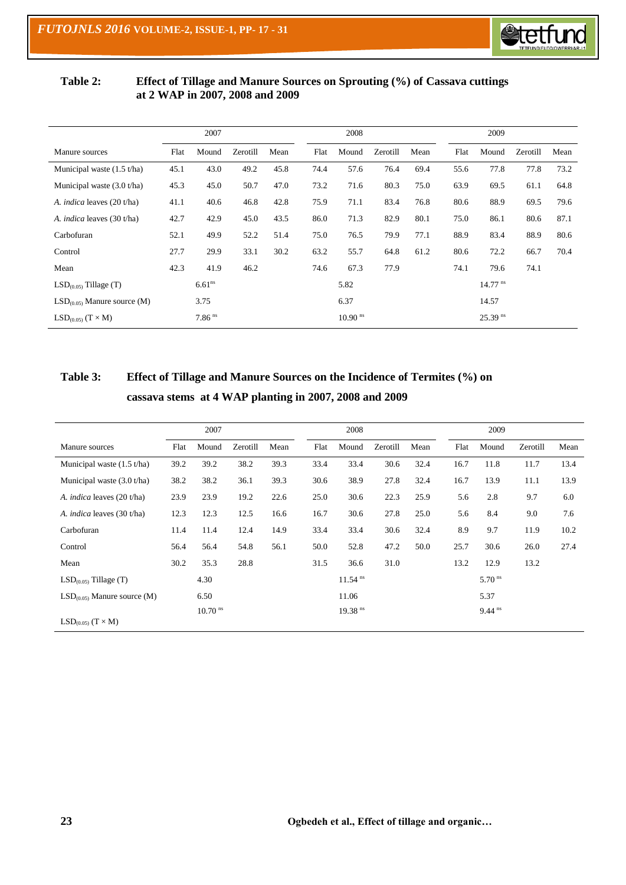

#### **Table 2: Effect of Tillage and Manure Sources on Sprouting (%) of Cassava cuttings at 2 WAP in 2007, 2008 and 2009**

|                                   | 2007 |                      |          |      |  |      | 2008                  |          |      |      | 2009                  |          |      |
|-----------------------------------|------|----------------------|----------|------|--|------|-----------------------|----------|------|------|-----------------------|----------|------|
| Manure sources                    | Flat | Mound                | Zerotill | Mean |  | Flat | Mound                 | Zerotill | Mean | Flat | Mound                 | Zerotill | Mean |
| Municipal waste $(1.5 t/ha)$      | 45.1 | 43.0                 | 49.2     | 45.8 |  | 74.4 | 57.6                  | 76.4     | 69.4 | 55.6 | 77.8                  | 77.8     | 73.2 |
| Municipal waste $(3.0 t/ha)$      | 45.3 | 45.0                 | 50.7     | 47.0 |  | 73.2 | 71.6                  | 80.3     | 75.0 | 63.9 | 69.5                  | 61.1     | 64.8 |
| A. <i>indica</i> leaves (20 t/ha) | 41.1 | 40.6                 | 46.8     | 42.8 |  | 75.9 | 71.1                  | 83.4     | 76.8 | 80.6 | 88.9                  | 69.5     | 79.6 |
| A. <i>indica</i> leaves (30 t/ha) | 42.7 | 42.9                 | 45.0     | 43.5 |  | 86.0 | 71.3                  | 82.9     | 80.1 | 75.0 | 86.1                  | 80.6     | 87.1 |
| Carbofuran                        | 52.1 | 49.9                 | 52.2     | 51.4 |  | 75.0 | 76.5                  | 79.9     | 77.1 | 88.9 | 83.4                  | 88.9     | 80.6 |
| Control                           | 27.7 | 29.9                 | 33.1     | 30.2 |  | 63.2 | 55.7                  | 64.8     | 61.2 | 80.6 | 72.2                  | 66.7     | 70.4 |
| Mean                              | 42.3 | 41.9                 | 46.2     |      |  | 74.6 | 67.3                  | 77.9     |      | 74.1 | 79.6                  | 74.1     |      |
| $LSD(0.05)$ Tillage (T)           |      | 6.61 <sup>ns</sup>   |          |      |  |      | 5.82                  |          |      |      | $14.77$ <sup>ns</sup> |          |      |
| $LSD(0.05)$ Manure source (M)     |      | 3.75                 |          |      |  |      | 6.37                  |          |      |      | 14.57                 |          |      |
| $LSD(0.05)$ $(T \times M)$        |      | $7.86$ <sup>ns</sup> |          |      |  |      | $10.90$ <sup>ns</sup> |          |      |      | $25.39$ <sup>ns</sup> |          |      |

## **Table 3: Effect of Tillage and Manure Sources on the Incidence of Termites (%) on cassava stems at 4 WAP planting in 2007, 2008 and 2009**

|                                   |      | 2007                  |          |      |      | 2008                  |          |      |      | 2009                 |          |      |
|-----------------------------------|------|-----------------------|----------|------|------|-----------------------|----------|------|------|----------------------|----------|------|
| Manure sources                    | Flat | Mound                 | Zerotill | Mean | Flat | Mound                 | Zerotill | Mean | Flat | Mound                | Zerotill | Mean |
| Municipal waste $(1.5 t/ha)$      | 39.2 | 39.2                  | 38.2     | 39.3 | 33.4 | 33.4                  | 30.6     | 32.4 | 16.7 | 11.8                 | 11.7     | 13.4 |
| Municipal waste $(3.0 t/ha)$      | 38.2 | 38.2                  | 36.1     | 39.3 | 30.6 | 38.9                  | 27.8     | 32.4 | 16.7 | 13.9                 | 11.1     | 13.9 |
| A. <i>indica</i> leaves (20 t/ha) | 23.9 | 23.9                  | 19.2     | 22.6 | 25.0 | 30.6                  | 22.3     | 25.9 | 5.6  | 2.8                  | 9.7      | 6.0  |
| A. <i>indica</i> leaves (30 t/ha) | 12.3 | 12.3                  | 12.5     | 16.6 | 16.7 | 30.6                  | 27.8     | 25.0 | 5.6  | 8.4                  | 9.0      | 7.6  |
| Carbofuran                        | 11.4 | 11.4                  | 12.4     | 14.9 | 33.4 | 33.4                  | 30.6     | 32.4 | 8.9  | 9.7                  | 11.9     | 10.2 |
| Control                           | 56.4 | 56.4                  | 54.8     | 56.1 | 50.0 | 52.8                  | 47.2     | 50.0 | 25.7 | 30.6                 | 26.0     | 27.4 |
| Mean                              | 30.2 | 35.3                  | 28.8     |      | 31.5 | 36.6                  | 31.0     |      | 13.2 | 12.9                 | 13.2     |      |
| $LSD(0.05)$ Tillage (T)           |      | 4.30                  |          |      |      | $11.54$ <sup>ns</sup> |          |      |      | $5.70$ <sup>ns</sup> |          |      |
| $LSD(0.05)$ Manure source (M)     |      | 6.50                  |          |      |      | 11.06                 |          |      |      | 5.37                 |          |      |
|                                   |      | $10.70$ <sup>ns</sup> |          |      |      | $19.38$ <sup>ns</sup> |          |      |      | $9.44$ <sup>ns</sup> |          |      |
| $LSD(0.05)$ $(T \times M)$        |      |                       |          |      |      |                       |          |      |      |                      |          |      |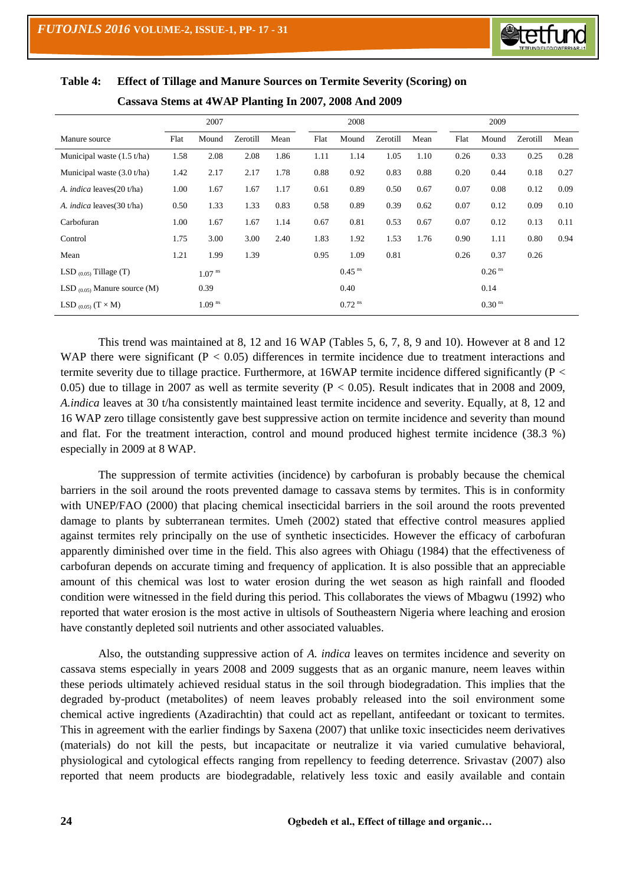

|                                   |      | 2007                 |          |      |      | 2008                 |          |      |      | 2009                 |          |      |
|-----------------------------------|------|----------------------|----------|------|------|----------------------|----------|------|------|----------------------|----------|------|
| Manure source                     | Flat | Mound                | Zerotill | Mean | Flat | Mound                | Zerotill | Mean | Flat | Mound                | Zerotill | Mean |
| Municipal waste $(1.5 t/ha)$      | 1.58 | 2.08                 | 2.08     | 1.86 | 1.11 | 1.14                 | 1.05     | 1.10 | 0.26 | 0.33                 | 0.25     | 0.28 |
| Municipal waste $(3.0 t/ha)$      | 1.42 | 2.17                 | 2.17     | 1.78 | 0.88 | 0.92                 | 0.83     | 0.88 | 0.20 | 0.44                 | 0.18     | 0.27 |
| A. <i>indica</i> leaves(20 t/ha)  | 1.00 | 1.67                 | 1.67     | 1.17 | 0.61 | 0.89                 | 0.50     | 0.67 | 0.07 | 0.08                 | 0.12     | 0.09 |
| A. <i>indica</i> leaves(30 t/ha)  | 0.50 | 1.33                 | 1.33     | 0.83 | 0.58 | 0.89                 | 0.39     | 0.62 | 0.07 | 0.12                 | 0.09     | 0.10 |
| Carbofuran                        | 1.00 | 1.67                 | 1.67     | 1.14 | 0.67 | 0.81                 | 0.53     | 0.67 | 0.07 | 0.12                 | 0.13     | 0.11 |
| Control                           | 1.75 | 3.00                 | 3.00     | 2.40 | 1.83 | 1.92                 | 1.53     | 1.76 | 0.90 | 1.11                 | 0.80     | 0.94 |
| Mean                              | 1.21 | 1.99                 | 1.39     |      | 0.95 | 1.09                 | 0.81     |      | 0.26 | 0.37                 | 0.26     |      |
| LSD $_{(0.05)}$ Tillage (T)       |      | 1.07 <sup>ns</sup>   |          |      |      | $0.45$ <sup>ns</sup> |          |      |      | $0.26$ <sup>ns</sup> |          |      |
| LSD $_{(0.05)}$ Manure source (M) |      | 0.39                 |          |      |      | 0.40                 |          |      |      | 0.14                 |          |      |
| LSD $_{(0.05)}$ $(T \times M)$    |      | $1.09$ <sup>ns</sup> |          |      |      | $0.72$ <sup>ns</sup> |          |      |      | $0.30$ <sup>ns</sup> |          |      |

### **Table 4: Effect of Tillage and Manure Sources on Termite Severity (Scoring) on Cassava Stems at 4WAP Planting In 2007, 2008 And 2009**

This trend was maintained at 8, 12 and 16 WAP (Tables 5, 6, 7, 8, 9 and 10). However at 8 and 12 WAP there were significant  $(P < 0.05)$  differences in termite incidence due to treatment interactions and termite severity due to tillage practice. Furthermore, at 16WAP termite incidence differed significantly (P < 0.05) due to tillage in 2007 as well as termite severity ( $P < 0.05$ ). Result indicates that in 2008 and 2009, *A.indica* leaves at 30 t/ha consistently maintained least termite incidence and severity. Equally, at 8, 12 and 16 WAP zero tillage consistently gave best suppressive action on termite incidence and severity than mound and flat. For the treatment interaction, control and mound produced highest termite incidence (38.3 %) especially in 2009 at 8 WAP.

The suppression of termite activities (incidence) by carbofuran is probably because the chemical barriers in the soil around the roots prevented damage to cassava stems by termites. This is in conformity with UNEP/FAO (2000) that placing chemical insecticidal barriers in the soil around the roots prevented damage to plants by subterranean termites. Umeh (2002) stated that effective control measures applied against termites rely principally on the use of synthetic insecticides. However the efficacy of carbofuran apparently diminished over time in the field. This also agrees with Ohiagu (1984) that the effectiveness of carbofuran depends on accurate timing and frequency of application. It is also possible that an appreciable amount of this chemical was lost to water erosion during the wet season as high rainfall and flooded condition were witnessed in the field during this period. This collaborates the views of Mbagwu (1992) who reported that water erosion is the most active in ultisols of Southeastern Nigeria where leaching and erosion have constantly depleted soil nutrients and other associated valuables.

Also, the outstanding suppressive action of *A. indica* leaves on termites incidence and severity on cassava stems especially in years 2008 and 2009 suggests that as an organic manure, neem leaves within these periods ultimately achieved residual status in the soil through biodegradation. This implies that the degraded by-product (metabolites) of neem leaves probably released into the soil environment some chemical active ingredients (Azadirachtin) that could act as repellant, antifeedant or toxicant to termites. This in agreement with the earlier findings by Saxena (2007) that unlike toxic insecticides neem derivatives (materials) do not kill the pests, but incapacitate or neutralize it via varied cumulative behavioral, physiological and cytological effects ranging from repellency to feeding deterrence. Srivastav (2007) also reported that neem products are biodegradable, relatively less toxic and easily available and contain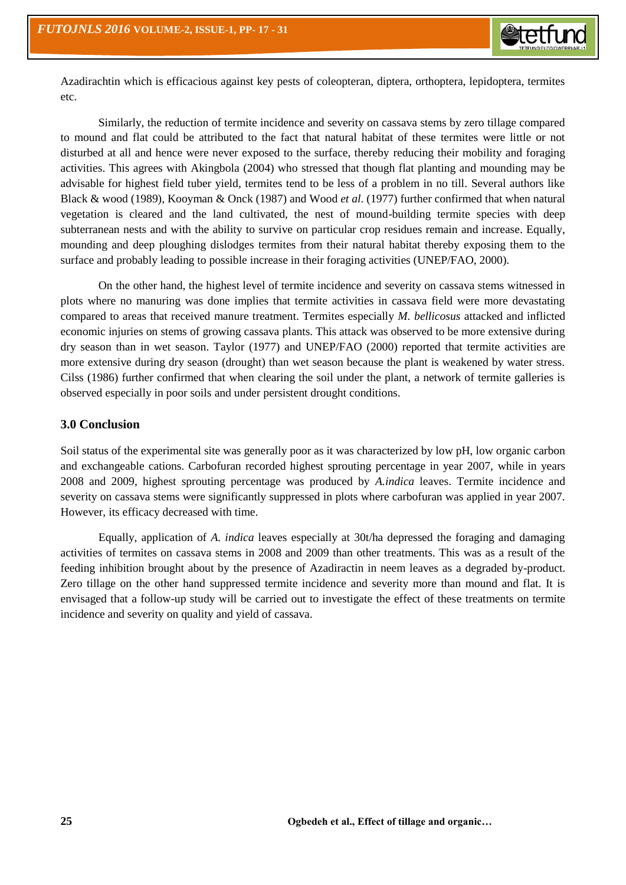Azadirachtin which is efficacious against key pests of coleopteran, diptera, orthoptera, lepidoptera, termites etc.

Similarly, the reduction of termite incidence and severity on cassava stems by zero tillage compared to mound and flat could be attributed to the fact that natural habitat of these termites were little or not disturbed at all and hence were never exposed to the surface, thereby reducing their mobility and foraging activities. This agrees with Akingbola (2004) who stressed that though flat planting and mounding may be advisable for highest field tuber yield, termites tend to be less of a problem in no till. Several authors like Black & wood (1989), Kooyman & Onck (1987) and Wood *et al.* (1977) further confirmed that when natural vegetation is cleared and the land cultivated, the nest of mound-building termite species with deep subterranean nests and with the ability to survive on particular crop residues remain and increase. Equally, mounding and deep ploughing dislodges termites from their natural habitat thereby exposing them to the surface and probably leading to possible increase in their foraging activities (UNEP/FAO, 2000).

On the other hand, the highest level of termite incidence and severity on cassava stems witnessed in plots where no manuring was done implies that termite activities in cassava field were more devastating compared to areas that received manure treatment. Termites especially *M. bellicosus* attacked and inflicted economic injuries on stems of growing cassava plants. This attack was observed to be more extensive during dry season than in wet season. Taylor (1977) and UNEP/FAO (2000) reported that termite activities are more extensive during dry season (drought) than wet season because the plant is weakened by water stress. Cilss (1986) further confirmed that when clearing the soil under the plant, a network of termite galleries is observed especially in poor soils and under persistent drought conditions.

### **3.0 Conclusion**

Soil status of the experimental site was generally poor as it was characterized by low pH, low organic carbon and exchangeable cations. Carbofuran recorded highest sprouting percentage in year 2007, while in years 2008 and 2009, highest sprouting percentage was produced by *A.indica* leaves. Termite incidence and severity on cassava stems were significantly suppressed in plots where carbofuran was applied in year 2007. However, its efficacy decreased with time.

Equally, application of *A. indica* leaves especially at 30t/ha depressed the foraging and damaging activities of termites on cassava stems in 2008 and 2009 than other treatments. This was as a result of the feeding inhibition brought about by the presence of Azadiractin in neem leaves as a degraded by-product. Zero tillage on the other hand suppressed termite incidence and severity more than mound and flat. It is envisaged that a follow-up study will be carried out to investigate the effect of these treatments on termite incidence and severity on quality and yield of cassava.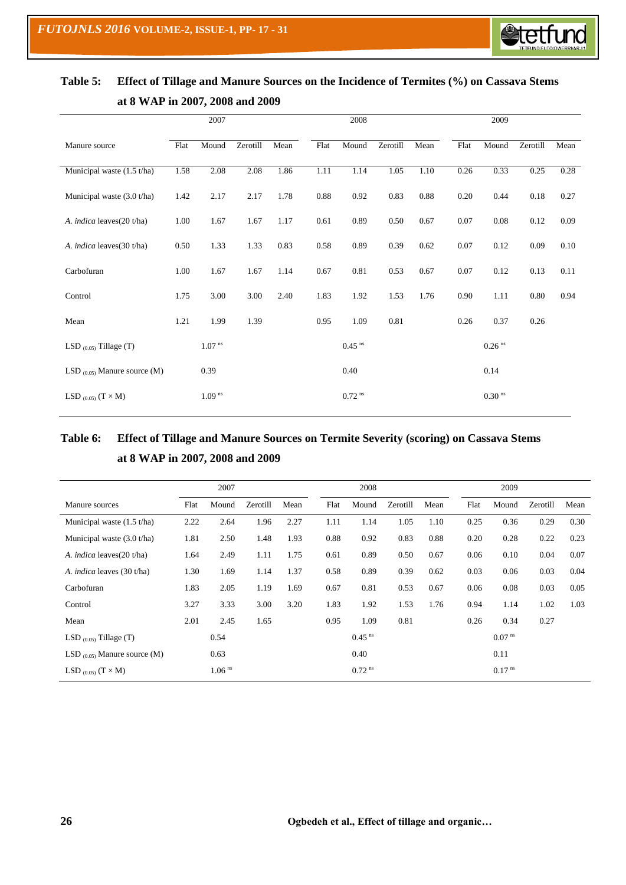

|                                   |      | 2007               |          |      |      | 2008                 |          |      |      | 2009                 |          |      |
|-----------------------------------|------|--------------------|----------|------|------|----------------------|----------|------|------|----------------------|----------|------|
| Manure source                     | Flat | Mound              | Zerotill | Mean | Flat | Mound                | Zerotill | Mean | Flat | Mound                | Zerotill | Mean |
| Municipal waste $(1.5 t/ha)$      | 1.58 | 2.08               | 2.08     | 1.86 | 1.11 | 1.14                 | 1.05     | 1.10 | 0.26 | 0.33                 | 0.25     | 0.28 |
| Municipal waste (3.0 t/ha)        | 1.42 | 2.17               | 2.17     | 1.78 | 0.88 | 0.92                 | 0.83     | 0.88 | 0.20 | 0.44                 | 0.18     | 0.27 |
| A. <i>indica</i> leaves(20 t/ha)  | 1.00 | 1.67               | 1.67     | 1.17 | 0.61 | 0.89                 | 0.50     | 0.67 | 0.07 | $0.08\,$             | 0.12     | 0.09 |
| A. indica leaves(30 t/ha)         | 0.50 | 1.33               | 1.33     | 0.83 | 0.58 | 0.89                 | 0.39     | 0.62 | 0.07 | 0.12                 | 0.09     | 0.10 |
| Carbofuran                        | 1.00 | 1.67               | 1.67     | 1.14 | 0.67 | 0.81                 | 0.53     | 0.67 | 0.07 | 0.12                 | 0.13     | 0.11 |
| Control                           | 1.75 | 3.00               | 3.00     | 2.40 | 1.83 | 1.92                 | 1.53     | 1.76 | 0.90 | 1.11                 | 0.80     | 0.94 |
| Mean                              | 1.21 | 1.99               | 1.39     |      | 0.95 | 1.09                 | 0.81     |      | 0.26 | 0.37                 | 0.26     |      |
| LSD $(0.05)$ Tillage (T)          |      | $1.07$ $^{\rm ns}$ |          |      |      | $0.45$ <sup>ns</sup> |          |      |      | $0.26$ <sup>ns</sup> |          |      |
| LSD $_{(0.05)}$ Manure source (M) |      | 0.39               |          |      |      | 0.40                 |          |      |      | 0.14                 |          |      |
| LSD $_{(0.05)}$ $(T \times M)$    |      | 1.09 <sup>ns</sup> |          |      |      | $0.72$ <sup>ns</sup> |          |      |      | $0.30$ $^{\rm ns}$   |          |      |

# **Table 5: Effect of Tillage and Manure Sources on the Incidence of Termites (%) on Cassava Stems at 8 WAP in 2007, 2008 and 2009**

## **Table 6: Effect of Tillage and Manure Sources on Termite Severity (scoring) on Cassava Stems at 8 WAP in 2007, 2008 and 2009**

|                                   |      | 2007                 |          |      |      | 2008                 |          |      |      | 2009                 |          |      |  |
|-----------------------------------|------|----------------------|----------|------|------|----------------------|----------|------|------|----------------------|----------|------|--|
| Manure sources                    | Flat | Mound                | Zerotill | Mean | Flat | Mound                | Zerotill | Mean | Flat | Mound                | Zerotill | Mean |  |
| Municipal waste $(1.5 t/ha)$      | 2.22 | 2.64                 | 1.96     | 2.27 | 1.11 | 1.14                 | 1.05     | 1.10 | 0.25 | 0.36                 | 0.29     | 0.30 |  |
| Municipal waste $(3.0 t/ha)$      | 1.81 | 2.50                 | 1.48     | 1.93 | 0.88 | 0.92                 | 0.83     | 0.88 | 0.20 | 0.28                 | 0.22     | 0.23 |  |
| A. <i>indica</i> leaves(20 t/ha)  | 1.64 | 2.49                 | 1.11     | 1.75 | 0.61 | 0.89                 | 0.50     | 0.67 | 0.06 | 0.10                 | 0.04     | 0.07 |  |
| A. <i>indica</i> leaves (30 t/ha) | 1.30 | 1.69                 | 1.14     | 1.37 | 0.58 | 0.89                 | 0.39     | 0.62 | 0.03 | 0.06                 | 0.03     | 0.04 |  |
| Carbofuran                        | 1.83 | 2.05                 | 1.19     | 1.69 | 0.67 | 0.81                 | 0.53     | 0.67 | 0.06 | 0.08                 | 0.03     | 0.05 |  |
| Control                           | 3.27 | 3.33                 | 3.00     | 3.20 | 1.83 | 1.92                 | 1.53     | 1.76 | 0.94 | 1.14                 | 1.02     | 1.03 |  |
| Mean                              | 2.01 | 2.45                 | 1.65     |      | 0.95 | 1.09                 | 0.81     |      | 0.26 | 0.34                 | 0.27     |      |  |
| LSD $(0.05)$ Tillage (T)          |      | 0.54                 |          |      |      | $0.45$ <sup>ns</sup> |          |      |      | $0.07$ <sup>ns</sup> |          |      |  |
| LSD $_{(0.05)}$ Manure source (M) |      | 0.63                 |          |      |      | 0.40                 |          |      |      | 0.11                 |          |      |  |
| LSD $_{(0.05)}$ $(T \times M)$    |      | $1.06$ <sup>ns</sup> |          |      |      | $0.72$ <sup>ns</sup> |          |      |      | $0.17$ <sup>ns</sup> |          |      |  |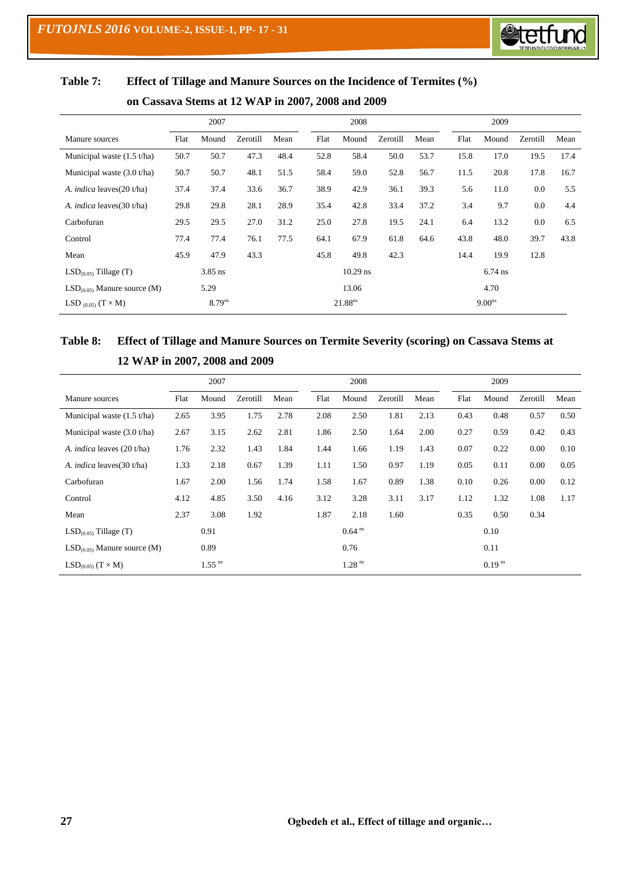

| Table 7: | Effect of Tillage and Manure Sources on the Incidence of Termites (%) |
|----------|-----------------------------------------------------------------------|
|----------|-----------------------------------------------------------------------|

|                                  |      | 2007               |          |      |      | 2008                |          |      |      | 2009               |          |      |
|----------------------------------|------|--------------------|----------|------|------|---------------------|----------|------|------|--------------------|----------|------|
| Manure sources                   | Flat | Mound              | Zerotill | Mean | Flat | Mound               | Zerotill | Mean | Flat | Mound              | Zerotill | Mean |
| Municipal waste $(1.5 t/ha)$     | 50.7 | 50.7               | 47.3     | 48.4 | 52.8 | 58.4                | 50.0     | 53.7 | 15.8 | 17.0               | 19.5     | 17.4 |
| Municipal waste $(3.0 t/ha)$     | 50.7 | 50.7               | 48.1     | 51.5 | 58.4 | 59.0                | 52.8     | 56.7 | 11.5 | 20.8               | 17.8     | 16.7 |
| A. <i>indica</i> leaves(20 t/ha) | 37.4 | 37.4               | 33.6     | 36.7 | 38.9 | 42.9                | 36.1     | 39.3 | 5.6  | 11.0               | 0.0      | 5.5  |
| A. <i>indica</i> leaves(30 t/ha) | 29.8 | 29.8               | 28.1     | 28.9 | 35.4 | 42.8                | 33.4     | 37.2 | 3.4  | 9.7                | 0.0      | 4.4  |
| Carbofuran                       | 29.5 | 29.5               | 27.0     | 31.2 | 25.0 | 27.8                | 19.5     | 24.1 | 6.4  | 13.2               | 0.0      | 6.5  |
| Control                          | 77.4 | 77.4               | 76.1     | 77.5 | 64.1 | 67.9                | 61.8     | 64.6 | 43.8 | 48.0               | 39.7     | 43.8 |
| Mean                             | 45.9 | 47.9               | 43.3     |      | 45.8 | 49.8                | 42.3     |      | 14.4 | 19.9               | 12.8     |      |
| $LSD(0.05)$ Tillage (T)          |      | $3.85$ ns          |          |      |      | $10.29$ ns          |          |      |      | 6.74 ns            |          |      |
| $LSD(0.05)$ Manure source (M)    |      | 5.29               |          |      |      | 13.06               |          |      |      | 4.70               |          |      |
| LSD $_{(0.05)}$ $(T \times M)$   |      | 8.79 <sup>ns</sup> |          |      |      | 21.88 <sup>ns</sup> |          |      |      | 9.00 <sup>ns</sup> |          |      |

### **on Cassava Stems at 12 WAP in 2007, 2008 and 2009**

# **Table 8: Effect of Tillage and Manure Sources on Termite Severity (scoring) on Cassava Stems at 12 WAP in 2007, 2008 and 2009**

|                                   |      | 2007                 |          |      |      | 2008                 |          |      |      | 2009                 |          |      |
|-----------------------------------|------|----------------------|----------|------|------|----------------------|----------|------|------|----------------------|----------|------|
| Manure sources                    | Flat | Mound                | Zerotill | Mean | Flat | Mound                | Zerotill | Mean | Flat | Mound                | Zerotill | Mean |
| Municipal waste $(1.5 t/ha)$      | 2.65 | 3.95                 | 1.75     | 2.78 | 2.08 | 2.50                 | 1.81     | 2.13 | 0.43 | 0.48                 | 0.57     | 0.50 |
| Municipal waste (3.0 t/ha)        | 2.67 | 3.15                 | 2.62     | 2.81 | 1.86 | 2.50                 | 1.64     | 2.00 | 0.27 | 0.59                 | 0.42     | 0.43 |
| A. <i>indica</i> leaves (20 t/ha) | 1.76 | 2.32                 | 1.43     | 1.84 | 1.44 | 1.66                 | 1.19     | 1.43 | 0.07 | 0.22                 | 0.00     | 0.10 |
| A. <i>indica</i> leaves(30 t/ha)  | 1.33 | 2.18                 | 0.67     | 1.39 | 1.11 | 1.50                 | 0.97     | 1.19 | 0.05 | 0.11                 | 0.00     | 0.05 |
| Carbofuran                        | 1.67 | 2.00                 | 1.56     | 1.74 | 1.58 | 1.67                 | 0.89     | 1.38 | 0.10 | 0.26                 | 0.00     | 0.12 |
| Control                           | 4.12 | 4.85                 | 3.50     | 4.16 | 3.12 | 3.28                 | 3.11     | 3.17 | 1.12 | 1.32                 | 1.08     | 1.17 |
| Mean                              | 2.37 | 3.08                 | 1.92     |      | 1.87 | 2.18                 | 1.60     |      | 0.35 | 0.50                 | 0.34     |      |
| $LSD(0.05)$ Tillage (T)           |      | 0.91                 |          |      |      | $0.64$ <sup>ns</sup> |          |      |      | 0.10                 |          |      |
| $LSD(0.05)$ Manure source (M)     |      | 0.89                 |          |      |      | 0.76                 |          |      |      | 0.11                 |          |      |
| $LSD(0.05)$ $(T \times M)$        |      | $1.55$ <sup>ns</sup> |          |      |      | $1.28$ <sup>ns</sup> |          |      |      | $0.19$ <sup>ns</sup> |          |      |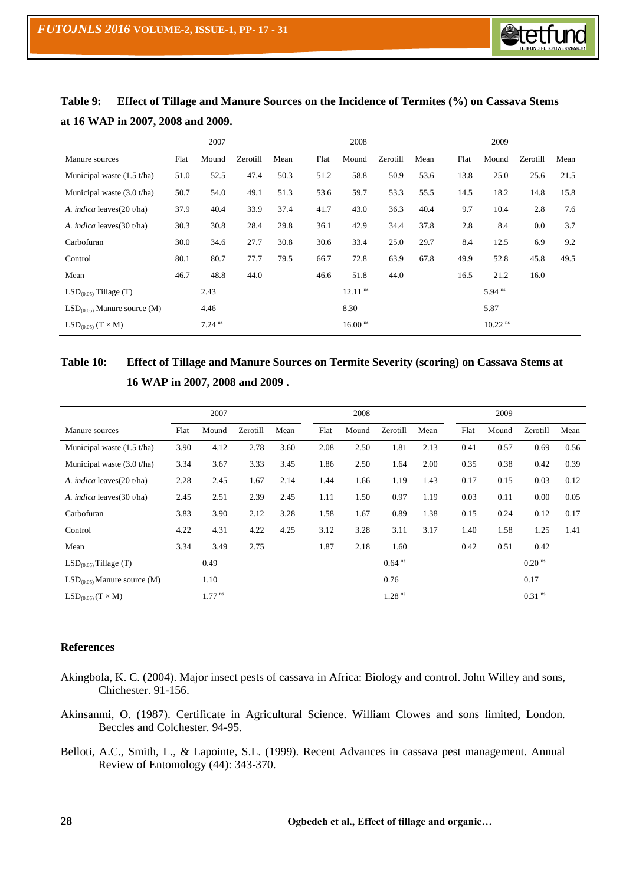

|                                  |      | 2007                 |          |      |      | 2008                  |          |      |      | 2009                  |          |      |
|----------------------------------|------|----------------------|----------|------|------|-----------------------|----------|------|------|-----------------------|----------|------|
| Manure sources                   | Flat | Mound                | Zerotill | Mean | Flat | Mound                 | Zerotill | Mean | Flat | Mound                 | Zerotill | Mean |
| Municipal waste $(1.5 t/ha)$     | 51.0 | 52.5                 | 47.4     | 50.3 | 51.2 | 58.8                  | 50.9     | 53.6 | 13.8 | 25.0                  | 25.6     | 21.5 |
| Municipal waste $(3.0 t/ha)$     | 50.7 | 54.0                 | 49.1     | 51.3 | 53.6 | 59.7                  | 53.3     | 55.5 | 14.5 | 18.2                  | 14.8     | 15.8 |
| A. <i>indica</i> leaves(20 t/ha) | 37.9 | 40.4                 | 33.9     | 37.4 | 41.7 | 43.0                  | 36.3     | 40.4 | 9.7  | 10.4                  | 2.8      | 7.6  |
| A. <i>indica</i> leaves(30 t/ha) | 30.3 | 30.8                 | 28.4     | 29.8 | 36.1 | 42.9                  | 34.4     | 37.8 | 2.8  | 8.4                   | 0.0      | 3.7  |
| Carbofuran                       | 30.0 | 34.6                 | 27.7     | 30.8 | 30.6 | 33.4                  | 25.0     | 29.7 | 8.4  | 12.5                  | 6.9      | 9.2  |
| Control                          | 80.1 | 80.7                 | 77.7     | 79.5 | 66.7 | 72.8                  | 63.9     | 67.8 | 49.9 | 52.8                  | 45.8     | 49.5 |
| Mean                             | 46.7 | 48.8                 | 44.0     |      | 46.6 | 51.8                  | 44.0     |      | 16.5 | 21.2                  | 16.0     |      |
| $LSD(0.05)$ Tillage (T)          |      | 2.43                 |          |      |      | $12.11$ <sup>ns</sup> |          |      |      | $5.94$ <sup>ns</sup>  |          |      |
| $LSD(0.05)$ Manure source (M)    |      | 4.46                 |          |      |      | 8.30                  |          |      |      | 5.87                  |          |      |
| $LSD(0.05)$ $(T \times M)$       |      | $7.24$ <sup>ns</sup> |          |      |      | $16.00$ <sup>ns</sup> |          |      |      | $10.22$ <sup>ns</sup> |          |      |

**Table 9: Effect of Tillage and Manure Sources on the Incidence of Termites (%) on Cassava Stems at 16 WAP in 2007, 2008 and 2009.**

## **Table 10: Effect of Tillage and Manure Sources on Termite Severity (scoring) on Cassava Stems at 16 WAP in 2007, 2008 and 2009 .**

|                                  |      | 2007                 |          |      |      | 2008  |                      |      |      | 2009  |                      |      |
|----------------------------------|------|----------------------|----------|------|------|-------|----------------------|------|------|-------|----------------------|------|
| Manure sources                   | Flat | Mound                | Zerotill | Mean | Flat | Mound | Zerotill             | Mean | Flat | Mound | Zerotill             | Mean |
| Municipal waste $(1.5 t/ha)$     | 3.90 | 4.12                 | 2.78     | 3.60 | 2.08 | 2.50  | 1.81                 | 2.13 | 0.41 | 0.57  | 0.69                 | 0.56 |
| Municipal waste $(3.0 t/ha)$     | 3.34 | 3.67                 | 3.33     | 3.45 | 1.86 | 2.50  | 1.64                 | 2.00 | 0.35 | 0.38  | 0.42                 | 0.39 |
| A. <i>indica</i> leaves(20 t/ha) | 2.28 | 2.45                 | 1.67     | 2.14 | 1.44 | 1.66  | 1.19                 | 1.43 | 0.17 | 0.15  | 0.03                 | 0.12 |
| A. <i>indica</i> leaves(30 t/ha) | 2.45 | 2.51                 | 2.39     | 2.45 | 1.11 | 1.50  | 0.97                 | 1.19 | 0.03 | 0.11  | 0.00                 | 0.05 |
| Carbofuran                       | 3.83 | 3.90                 | 2.12     | 3.28 | 1.58 | 1.67  | 0.89                 | 1.38 | 0.15 | 0.24  | 0.12                 | 0.17 |
| Control                          | 4.22 | 4.31                 | 4.22     | 4.25 | 3.12 | 3.28  | 3.11                 | 3.17 | 1.40 | 1.58  | 1.25                 | 1.41 |
| Mean                             | 3.34 | 3.49                 | 2.75     |      | 1.87 | 2.18  | 1.60                 |      | 0.42 | 0.51  | 0.42                 |      |
| $LSD(0.05)$ Tillage (T)          |      | 0.49                 |          |      |      |       | $0.64$ <sup>ns</sup> |      |      |       | $0.20$ <sup>ns</sup> |      |
| $LSD(0.05)$ Manure source (M)    |      | 1.10                 |          |      |      |       | 0.76                 |      |      |       | 0.17                 |      |
| $LSD(0.05) (T \times M)$         |      | $1.77$ <sup>ns</sup> |          |      |      |       | $1.28$ <sup>ns</sup> |      |      |       | $0.31$ <sup>ns</sup> |      |

#### **References**

- Akingbola, K. C. (2004). Major insect pests of cassava in Africa: Biology and control. John Willey and sons, Chichester. 91-156.
- Akinsanmi, O. (1987). Certificate in Agricultural Science. William Clowes and sons limited, London. Beccles and Colchester. 94-95.
- Belloti, A.C., Smith, L., & Lapointe, S.L. (1999). Recent Advances in cassava pest management. Annual Review of Entomology (44): 343-370.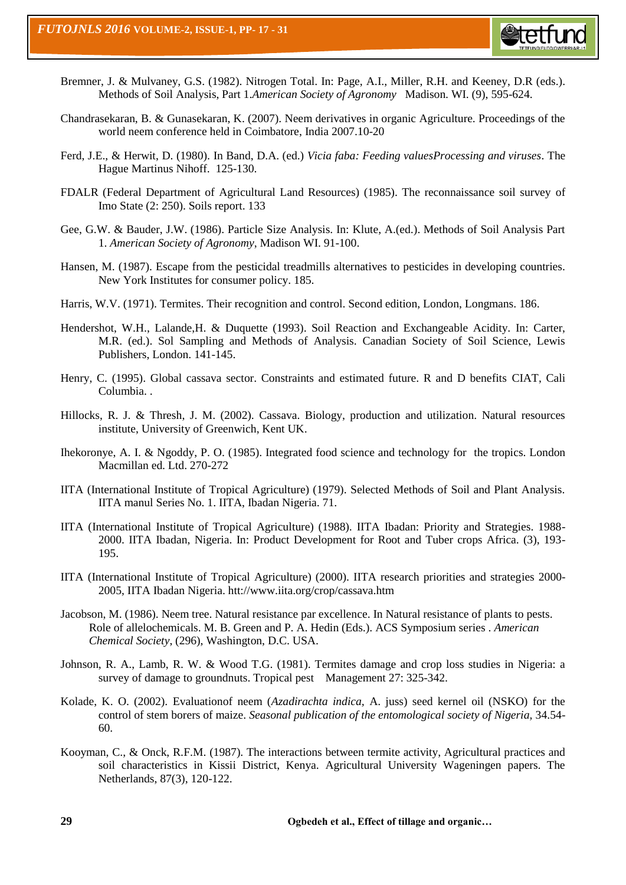

- Bremner, J. & Mulvaney, G.S. (1982). Nitrogen Total. In: Page, A.I., Miller, R.H. and Keeney, D.R (eds.). Methods of Soil Analysis, Part 1.*American Society of Agronomy* Madison. WI. (9), 595-624.
- Chandrasekaran, B. & Gunasekaran, K. (2007). Neem derivatives in organic Agriculture. Proceedings of the world neem conference held in Coimbatore, India 2007.10-20
- Ferd, J.E., & Herwit, D. (1980). In Band, D.A. (ed.) *Vicia faba: Feeding valuesProcessing and viruses*. The Hague Martinus Nihoff. 125-130.
- FDALR (Federal Department of Agricultural Land Resources) (1985). The reconnaissance soil survey of Imo State (2: 250). Soils report. 133
- Gee, G.W. & Bauder, J.W. (1986). Particle Size Analysis. In: Klute, A.(ed.). Methods of Soil Analysis Part 1. *American Society of Agronomy*, Madison WI. 91-100.
- Hansen, M. (1987). Escape from the pesticidal treadmills alternatives to pesticides in developing countries. New York Institutes for consumer policy. 185.
- Harris, W.V. (1971). Termites. Their recognition and control. Second edition, London, Longmans. 186.
- Hendershot, W.H., Lalande,H. & Duquette (1993). Soil Reaction and Exchangeable Acidity. In: Carter, M.R. (ed.). Sol Sampling and Methods of Analysis. Canadian Society of Soil Science, Lewis Publishers, London. 141-145.
- Henry, C. (1995). Global cassava sector. Constraints and estimated future. R and D benefits CIAT, Cali Columbia. .
- Hillocks, R. J. & Thresh, J. M. (2002). Cassava. Biology, production and utilization. Natural resources institute, University of Greenwich, Kent UK.
- Ihekoronye, A. I. & Ngoddy, P. O. (1985). Integrated food science and technology for the tropics. London Macmillan ed. Ltd. 270-272
- IITA (International Institute of Tropical Agriculture) (1979). Selected Methods of Soil and Plant Analysis. IITA manul Series No. 1. IITA, Ibadan Nigeria. 71.
- IITA (International Institute of Tropical Agriculture) (1988). IITA Ibadan: Priority and Strategies. 1988- 2000. IITA Ibadan, Nigeria. In: Product Development for Root and Tuber crops Africa. (3), 193- 195.
- IITA (International Institute of Tropical Agriculture) (2000). IITA research priorities and strategies 2000- 2005, IITA Ibadan Nigeria. htt://www.iita.org/crop/cassava.htm
- Jacobson, M. (1986). Neem tree. Natural resistance par excellence. In Natural resistance of plants to pests. Role of allelochemicals. M. B. Green and P. A. Hedin (Eds.). ACS Symposium series . *American Chemical Society*, (296), Washington, D.C. USA.
- Johnson, R. A., Lamb, R. W. & Wood T.G. (1981). Termites damage and crop loss studies in Nigeria: a survey of damage to groundnuts. Tropical pest Management 27: 325-342.
- Kolade, K. O. (2002). Evaluationof neem (*Azadirachta indica,* A. juss) seed kernel oil (NSKO) for the control of stem borers of maize. *Seasonal publication of the entomological society of Nigeria,* 34.54- 60.
- Kooyman, C., & Onck, R.F.M. (1987). The interactions between termite activity, Agricultural practices and soil characteristics in Kissii District, Kenya. Agricultural University Wageningen papers. The Netherlands, 87(3), 120-122.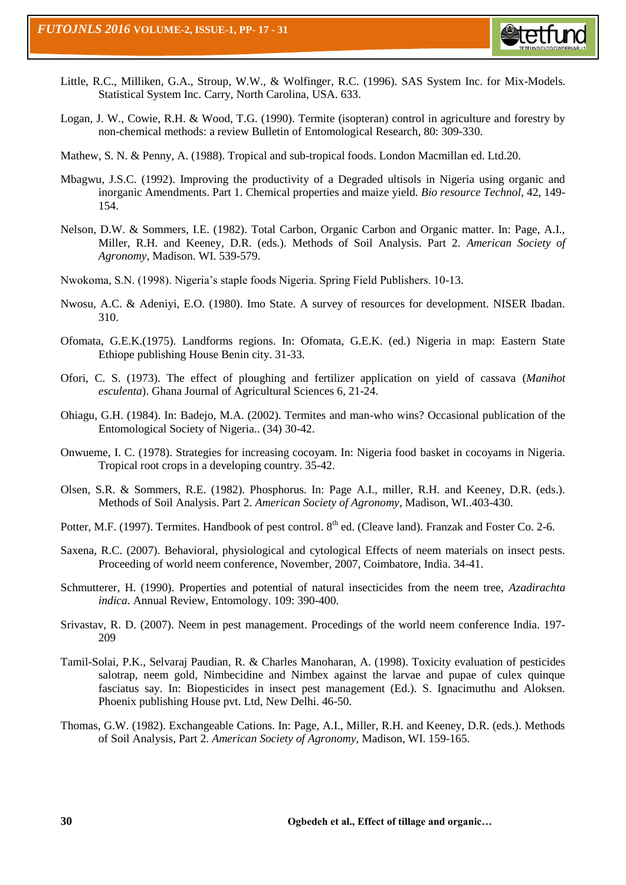

- Little, R.C., Milliken, G.A., Stroup, W.W., & Wolfinger, R.C. (1996). SAS System Inc. for Mix-Models. Statistical System Inc. Carry, North Carolina, USA. 633.
- Logan, J. W., Cowie, R.H. & Wood, T.G. (1990). Termite (isopteran) control in agriculture and forestry by non-chemical methods: a review Bulletin of Entomological Research, 80: 309-330.
- Mathew, S. N. & Penny, A. (1988). Tropical and sub-tropical foods. London Macmillan ed. Ltd.20.
- Mbagwu, J.S.C. (1992). Improving the productivity of a Degraded ultisols in Nigeria using organic and inorganic Amendments. Part 1. Chemical properties and maize yield. *Bio resource Technol*, 42, 149- 154.
- Nelson, D.W. & Sommers, I.E. (1982). Total Carbon, Organic Carbon and Organic matter. In: Page, A.I., Miller, R.H. and Keeney, D.R. (eds.). Methods of Soil Analysis. Part 2. *American Society of Agronomy*, Madison. WI. 539-579.
- Nwokoma, S.N. (1998). Nigeria's staple foods Nigeria. Spring Field Publishers. 10-13.
- Nwosu, A.C. & Adeniyi, E.O. (1980). Imo State. A survey of resources for development. NISER Ibadan. 310.
- Ofomata, G.E.K.(1975). Landforms regions. In: Ofomata, G.E.K. (ed.) Nigeria in map: Eastern State Ethiope publishing House Benin city. 31-33.
- Ofori, C. S. (1973). The effect of ploughing and fertilizer application on yield of cassava (*Manihot esculenta*). Ghana Journal of Agricultural Sciences 6, 21-24.
- Ohiagu, G.H. (1984). In: Badejo, M.A. (2002). Termites and man-who wins? Occasional publication of the Entomological Society of Nigeria.. (34) 30-42.
- Onwueme, I. C. (1978). Strategies for increasing cocoyam. In: Nigeria food basket in cocoyams in Nigeria. Tropical root crops in a developing country. 35-42.
- Olsen, S.R. & Sommers, R.E. (1982). Phosphorus. In: Page A.I., miller, R.H. and Keeney, D.R. (eds.). Methods of Soil Analysis. Part 2. *American Society of Agronomy*, Madison, WI..403-430.
- Potter, M.F. (1997). Termites. Handbook of pest control. 8<sup>th</sup> ed. (Cleave land). Franzak and Foster Co. 2-6.
- Saxena, R.C. (2007). Behavioral, physiological and cytological Effects of neem materials on insect pests. Proceeding of world neem conference, November, 2007, Coimbatore, India. 34-41.
- Schmutterer, H. (1990). Properties and potential of natural insecticides from the neem tree, *Azadirachta indica*. Annual Review, Entomology. 109: 390-400.
- Srivastav, R. D. (2007). Neem in pest management. Procedings of the world neem conference India. 197- 209
- Tamil-Solai, P.K., Selvaraj Paudian, R. & Charles Manoharan, A. (1998). Toxicity evaluation of pesticides salotrap, neem gold, Nimbecidine and Nimbex against the larvae and pupae of culex quinque fasciatus say. In: Biopesticides in insect pest management (Ed.). S. Ignacimuthu and Aloksen. Phoenix publishing House pvt. Ltd, New Delhi. 46-50.
- Thomas, G.W. (1982). Exchangeable Cations. In: Page, A.I., Miller, R.H. and Keeney, D.R. (eds.). Methods of Soil Analysis, Part 2. *American Society of Agronomy*, Madison, WI. 159-165.